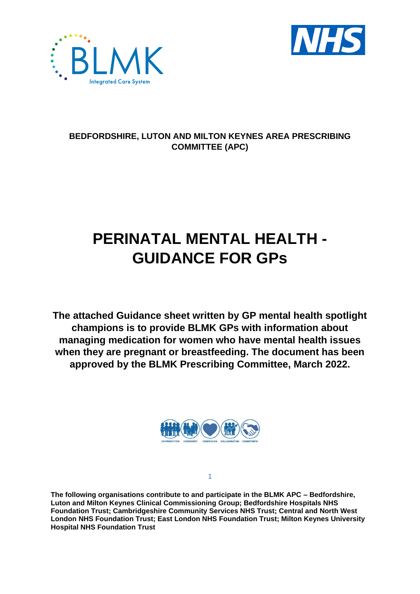



## **BEDFORDSHIRE, LUTON AND MILTON KEYNES AREA PRESCRIBING COMMITTEE (APC)**

## **PERINATAL MENTAL HEALTH - GUIDANCE FOR GPs**

**The attached Guidance sheet written by GP mental health spotlight champions is to provide BLMK GPs with information about managing medication for women who have mental health issues when they are pregnant or breastfeeding. The document has been approved by the BLMK Prescribing Committee, March 2022.**



1

**The following organisations contribute to and participate in the BLMK APC – Bedfordshire, Luton and Milton Keynes Clinical Commissioning Group; Bedfordshire Hospitals NHS Foundation Trust; Cambridgeshire Community Services NHS Trust; Central and North West London NHS Foundation Trust; East London NHS Foundation Trust; Milton Keynes University Hospital NHS Foundation Trust**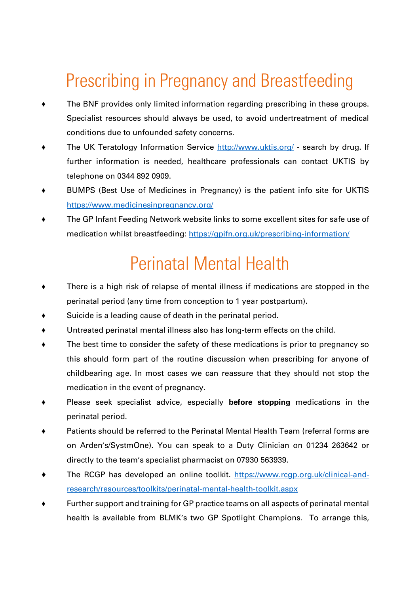## Prescribing in Pregnancy and Breastfeeding

- ♦ The BNF provides only limited information regarding prescribing in these groups. Specialist resources should always be used, to avoid undertreatment of medical conditions due to unfounded safety concerns.
- The UK Teratology Information Service<http://www.uktis.org/> search by drug. If further information is needed, healthcare professionals can contact UKTIS by telephone on 0344 892 0909.
- ♦ BUMPS (Best Use of Medicines in Pregnancy) is the patient info site for UKTIS <https://www.medicinesinpregnancy.org/>
- ♦ The GP Infant Feeding Network website links to some excellent sites for safe use of medication whilst breastfeeding:<https://gpifn.org.uk/prescribing-information/>

## Perinatal Mental Health

- ♦ There is a high risk of relapse of mental illness if medications are stopped in the perinatal period (any time from conception to 1 year postpartum).
- Suicide is a leading cause of death in the perinatal period.
- Untreated perinatal mental illness also has long-term effects on the child.
- ♦ The best time to consider the safety of these medications is prior to pregnancy so this should form part of the routine discussion when prescribing for anyone of childbearing age. In most cases we can reassure that they should not stop the medication in the event of pregnancy.
- ♦ Please seek specialist advice, especially **before stopping** medications in the perinatal period.
- Patients should be referred to the Perinatal Mental Health Team (referral forms are on Arden's/SystmOne). You can speak to a Duty Clinician on 01234 263642 or directly to the team's specialist pharmacist on 07930 563939.
- The RCGP has developed an online toolkit. [https://www.rcgp.org.uk/clinical-and](https://www.rcgp.org.uk/clinical-and-research/resources/toolkits/perinatal-mental-health-toolkit.aspx)[research/resources/toolkits/perinatal-mental-health-toolkit.aspx](https://www.rcgp.org.uk/clinical-and-research/resources/toolkits/perinatal-mental-health-toolkit.aspx)
- Further support and training for GP practice teams on all aspects of perinatal mental health is available from BLMK's two GP Spotlight Champions. To arrange this,